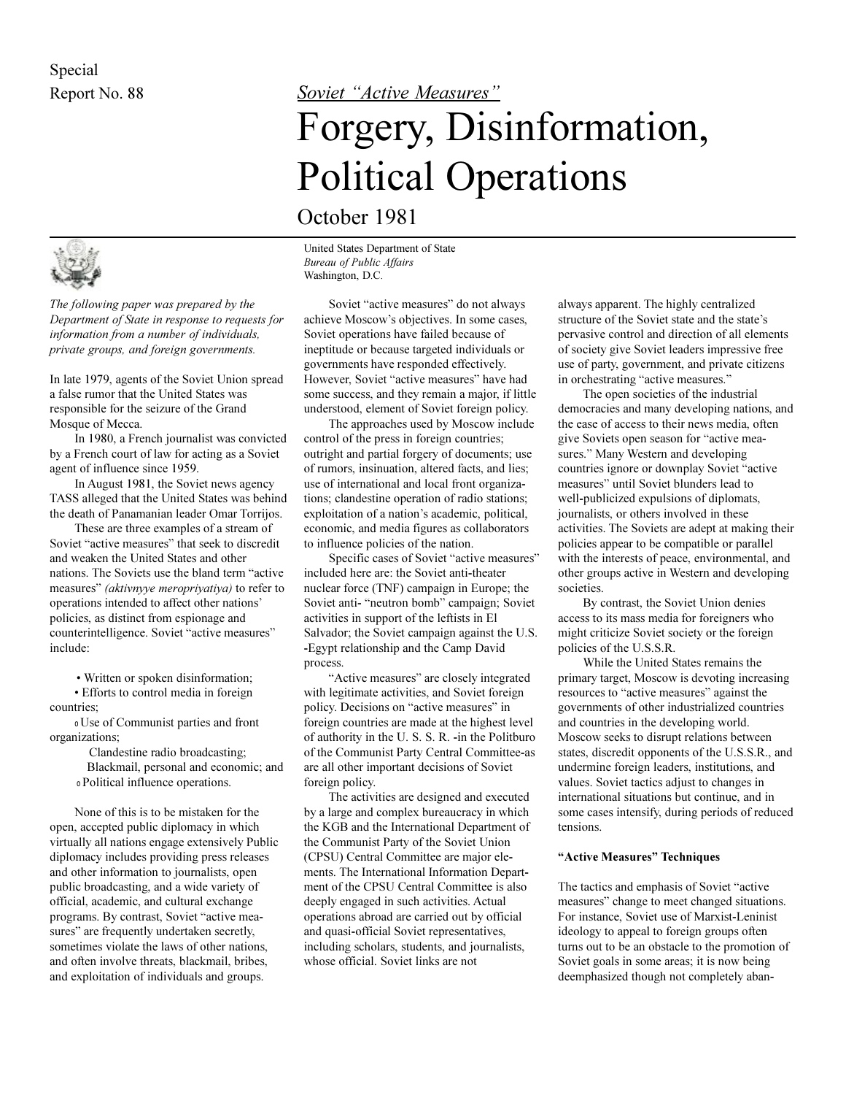

*The following paper was prepared by the Department of State in response to requests for information from a number of individuals, private groups, and foreign governments.*

In late 1979, agents of the Soviet Union spread a false rumor that the United States was responsible for the seizure of the Grand Mosque of Mecca.

In 1980, a French journalist was convicted by a French court of law for acting as a Soviet agent of influence since 1959.

In August 1981, the Soviet news agency TASS alleged that the United States was behind the death of Panamanian leader Omar Torrijos.

These are three examples of a stream of Soviet "active measures" that seek to discredit and weaken the United States and other nations. The Soviets use the bland term "active" measures" *(aktivnyye meropriyatiya)* to refer to operations intended to affect other nations policies, as distinct from espionage and counterintelligence. Soviet "active measures" include:

Written or spoken disinformation;

 Efforts to control media in foreign countries;

<sup>0</sup>Use of Communist parties and front organizations;

> Clandestine radio broadcasting; Blackmail, personal and economic; and <sup>0</sup>Political influence operations.

None of this is to be mistaken for the open, accepted public diplomacy in which virtually all nations engage extensively Public diplomacy includes providing press releases and other information to journalists, open public broadcasting, and a wide variety of official, academic, and cultural exchange programs. By contrast, Soviet "active measures" are frequently undertaken secretly, sometimes violate the laws of other nations, and often involve threats, blackmail, bribes, and exploitation of individuals and groups.

## Report No. 88 **Soviet "Active Measures"**

# Forgery, Disinformation, Political Operations

October 1981

United States Department of State *Bureau of Public Affairs* Washington, D.C.

Soviet "active measures" do not always achieve Moscow's objectives. In some cases, Soviet operations have failed because of ineptitude or because targeted individuals or governments have responded effectively. However, Soviet "active measures" have had some success, and they remain a major, if little understood, element of Soviet foreign policy.

The approaches used by Moscow include control of the press in foreign countries; outright and partial forgery of documents; use of rumors, insinuation, altered facts, and lies; use of international and local front organizations; clandestine operation of radio stations; exploitation of a nation's academic, political, economic, and media figures as collaborators to influence policies of the nation.

Specific cases of Soviet "active measures" included here are: the Soviet anti-theater nuclear force (TNF) campaign in Europe; the Soviet anti- "neutron bomb" campaign; Soviet activities in support of the leftists in El Salvador; the Soviet campaign against the U.S. -Egypt relationship and the Camp David process.

"Active measures" are closely integrated with legitimate activities, and Soviet foreign policy. Decisions on "active measures" in foreign countries are made at the highest level of authority in the U. S. S. R. -in the Politburo of the Communist Party Central Committee-as are all other important decisions of Soviet foreign policy.

The activities are designed and executed by a large and complex bureaucracy in which the KGB and the International Department of the Communist Party of the Soviet Union (CPSU) Central Committee are major elements. The International Information Department of the CPSU Central Committee is also deeply engaged in such activities. Actual operations abroad are carried out by official and quasi-official Soviet representatives, including scholars, students, and journalists, whose official. Soviet links are not

always apparent. The highly centralized structure of the Soviet state and the state's pervasive control and direction of all elements of society give Soviet leaders impressive free use of party, government, and private citizens in orchestrating "active measures."

The open societies of the industrial democracies and many developing nations, and the ease of access to their news media, often give Soviets open season for "active measures." Many Western and developing countries ignore or downplay Soviet "active measures" until Soviet blunders lead to well-publicized expulsions of diplomats, journalists, or others involved in these activities. The Soviets are adept at making their policies appear to be compatible or parallel with the interests of peace, environmental, and other groups active in Western and developing societies.

By contrast, the Soviet Union denies access to its mass media for foreigners who might criticize Soviet society or the foreign policies of the U.S.S.R.

While the United States remains the primary target, Moscow is devoting increasing resources to "active measures" against the governments of other industrialized countries and countries in the developing world. Moscow seeks to disrupt relations between states, discredit opponents of the U.S.S.R., and undermine foreign leaders, institutions, and values. Soviet tactics adjust to changes in international situations but continue, and in some cases intensify, during periods of reduced tensions.

### "Active Measures" Techniques

The tactics and emphasis of Soviet "active" measures" change to meet changed situations. For instance, Soviet use of Marxist-Leninist ideology to appeal to foreign groups often turns out to be an obstacle to the promotion of Soviet goals in some areas; it is now being deemphasized though not completely aban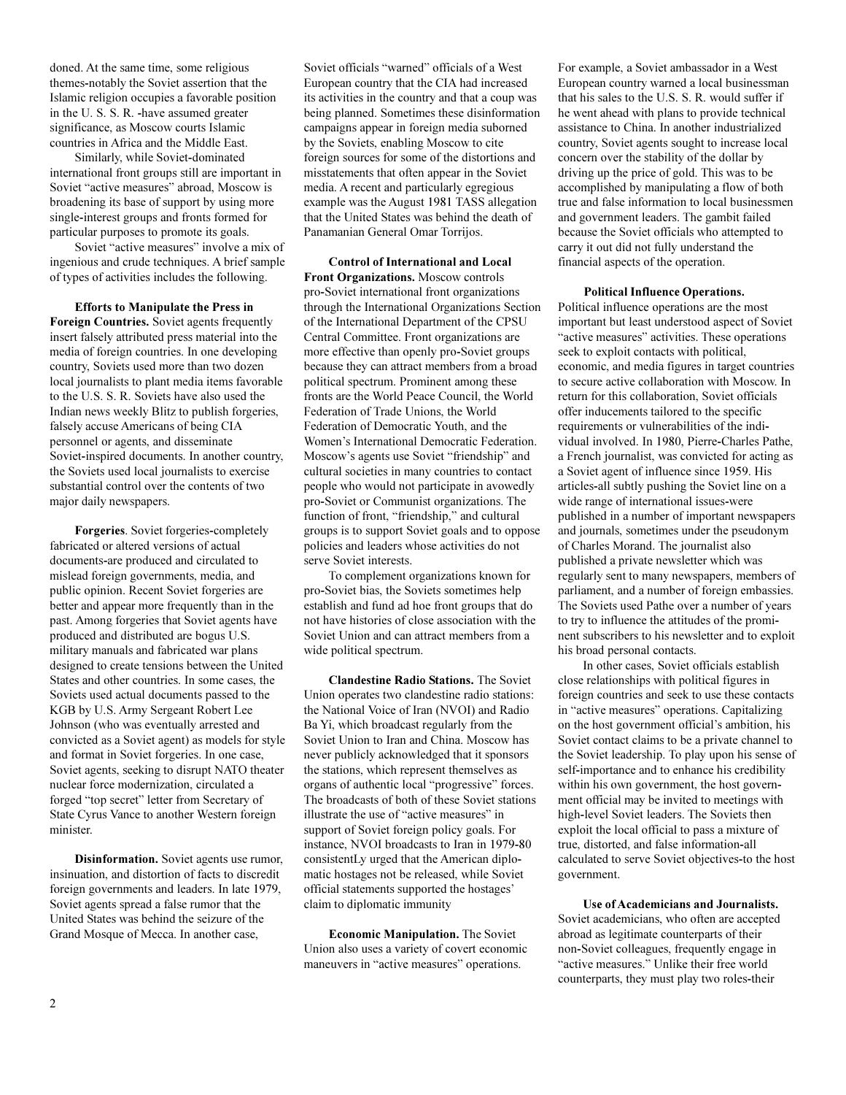doned. At the same time, some religious themes-notably the Soviet assertion that the Islamic religion occupies a favorable position in the U. S. S. R. -have assumed greater significance, as Moscow courts Islamic countries in Africa and the Middle East.

Similarly, while Soviet-dominated international front groups still are important in Soviet "active measures" abroad, Moscow is broadening its base of support by using more single-interest groups and fronts formed for particular purposes to promote its goals.

Soviet "active measures" involve a mix of ingenious and crude techniques. A brief sample of types of activities includes the following.

**Efforts to Manipulate the Press in Foreign Countries.** Soviet agents frequently insert falsely attributed press material into the media of foreign countries. In one developing country, Soviets used more than two dozen local journalists to plant media items favorable to the U.S. S. R. Soviets have also used the Indian news weekly Blitz to publish forgeries, falsely accuse Americans of being CIA personnel or agents, and disseminate Soviet-inspired documents. In another country, the Soviets used local journalists to exercise substantial control over the contents of two major daily newspapers.

**Forgeries**. Soviet forgeries-completely fabricated or altered versions of actual documents-are produced and circulated to mislead foreign governments, media, and public opinion. Recent Soviet forgeries are better and appear more frequently than in the past. Among forgeries that Soviet agents have produced and distributed are bogus U.S. military manuals and fabricated war plans designed to create tensions between the United States and other countries. In some cases, the Soviets used actual documents passed to the KGB by U.S. Army Sergeant Robert Lee Johnson (who was eventually arrested and convicted as a Soviet agent) as models for style and format in Soviet forgeries. In one case, Soviet agents, seeking to disrupt NATO theater nuclear force modernization, circulated a forged "top secret" letter from Secretary of State Cyrus Vance to another Western foreign minister.

**Disinformation.** Soviet agents use rumor, insinuation, and distortion of facts to discredit foreign governments and leaders. In late 1979, Soviet agents spread a false rumor that the United States was behind the seizure of the Grand Mosque of Mecca. In another case,

Soviet officials "warned" officials of a West European country that the CIA had increased its activities in the country and that a coup was being planned. Sometimes these disinformation campaigns appear in foreign media suborned by the Soviets, enabling Moscow to cite foreign sources for some of the distortions and misstatements that often appear in the Soviet media. A recent and particularly egregious example was the August 1981 TASS allegation that the United States was behind the death of Panamanian General Omar Torrijos.

**Control of International and Local Front Organizations.** Moscow controls pro-Soviet international front organizations through the International Organizations Section of the International Department of the CPSU Central Committee. Front organizations are more effective than openly pro-Soviet groups because they can attract members from a broad political spectrum. Prominent among these fronts are the World Peace Council, the World Federation of Trade Unions, the World Federation of Democratic Youth, and the Women's International Democratic Federation. Moscow's agents use Soviet "friendship" and cultural societies in many countries to contact people who would not participate in avowedly pro-Soviet or Communist organizations. The function of front, "friendship," and cultural groups is to support Soviet goals and to oppose policies and leaders whose activities do not serve Soviet interests.

To complement organizations known for pro-Soviet bias, the Soviets sometimes help establish and fund ad hoe front groups that do not have histories of close association with the Soviet Union and can attract members from a wide political spectrum.

**Clandestine Radio Stations.** The Soviet Union operates two clandestine radio stations: the National Voice of Iran (NVOI) and Radio Ba Yi, which broadcast regularly from the Soviet Union to Iran and China. Moscow has never publicly acknowledged that it sponsors the stations, which represent themselves as organs of authentic local "progressive" forces. The broadcasts of both of these Soviet stations illustrate the use of "active measures" in support of Soviet foreign policy goals. For instance, NVOI broadcasts to Iran in 1979-80 consistentLy urged that the American diplomatic hostages not be released, while Soviet official statements supported the hostages claim to diplomatic immunity

**Economic Manipulation.** The Soviet Union also uses a variety of covert economic maneuvers in "active measures" operations.

For example, a Soviet ambassador in a West European country warned a local businessman that his sales to the U.S. S. R. would suffer if he went ahead with plans to provide technical assistance to China. In another industrialized country, Soviet agents sought to increase local concern over the stability of the dollar by driving up the price of gold. This was to be accomplished by manipulating a flow of both true and false information to local businessmen and government leaders. The gambit failed because the Soviet officials who attempted to carry it out did not fully understand the financial aspects of the operation.

#### **Political Influence Operations.**

Political influence operations are the most important but least understood aspect of Soviet "active measures" activities. These operations seek to exploit contacts with political, economic, and media figures in target countries to secure active collaboration with Moscow. In return for this collaboration, Soviet officials offer inducements tailored to the specific requirements or vulnerabilities of the individual involved. In 1980, Pierre-Charles Pathe, a French journalist, was convicted for acting as a Soviet agent of influence since 1959. His articles-all subtly pushing the Soviet line on a wide range of international issues-were published in a number of important newspapers and journals, sometimes under the pseudonym of Charles Morand. The journalist also published a private newsletter which was regularly sent to many newspapers, members of parliament, and a number of foreign embassies. The Soviets used Pathe over a number of years to try to influence the attitudes of the prominent subscribers to his newsletter and to exploit his broad personal contacts.

In other cases, Soviet officials establish close relationships with political figures in foreign countries and seek to use these contacts in "active measures" operations. Capitalizing on the host government official's ambition, his Soviet contact claims to be a private channel to the Soviet leadership. To play upon his sense of self-importance and to enhance his credibility within his own government, the host government official may be invited to meetings with high-level Soviet leaders. The Soviets then exploit the local official to pass a mixture of true, distorted, and false information-all calculated to serve Soviet objectives-to the host government.

**Use of Academicians and Journalists.** Soviet academicians, who often are accepted abroad as legitimate counterparts of their non-Soviet colleagues, frequently engage in "active measures." Unlike their free world counterparts, they must play two roles-their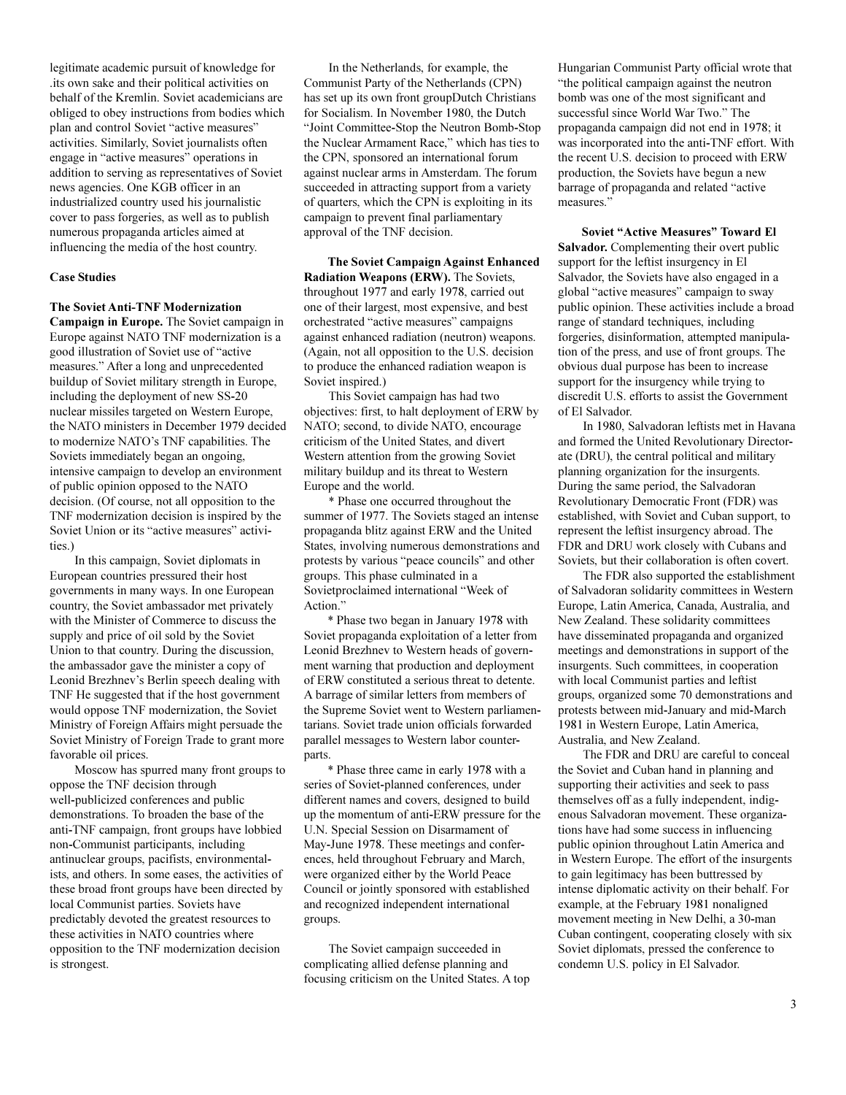legitimate academic pursuit of knowledge for .its own sake and their political activities on behalf of the Kremlin. Soviet academicians are obliged to obey instructions from bodies which plan and control Soviet "active measures" activities. Similarly, Soviet journalists often engage in "active measures" operations in addition to serving as representatives of Soviet news agencies. One KGB officer in an industrialized country used his journalistic cover to pass forgeries, as well as to publish numerous propaganda articles aimed at influencing the media of the host country.

#### **Case Studies**

**The Soviet Anti-TNF Modernization**

**Campaign in Europe.** The Soviet campaign in Europe against NATO TNF modernization is a good illustration of Soviet use of "active" measures." After a long and unprecedented buildup of Soviet military strength in Europe, including the deployment of new SS-20 nuclear missiles targeted on Western Europe, the NATO ministers in December 1979 decided to modernize NATO's TNF capabilities. The Soviets immediately began an ongoing, intensive campaign to develop an environment of public opinion opposed to the NATO decision. (Of course, not all opposition to the TNF modernization decision is inspired by the Soviet Union or its "active measures" activities.)

In this campaign, Soviet diplomats in European countries pressured their host governments in many ways. In one European country, the Soviet ambassador met privately with the Minister of Commerce to discuss the supply and price of oil sold by the Soviet Union to that country. During the discussion, the ambassador gave the minister a copy of Leonid Brezhnev's Berlin speech dealing with TNF He suggested that if the host government would oppose TNF modernization, the Soviet Ministry of Foreign Affairs might persuade the Soviet Ministry of Foreign Trade to grant more favorable oil prices.

Moscow has spurred many front groups to oppose the TNF decision through well-publicized conferences and public demonstrations. To broaden the base of the anti-TNF campaign, front groups have lobbied non-Communist participants, including antinuclear groups, pacifists, environmentalists, and others. In some eases, the activities of these broad front groups have been directed by local Communist parties. Soviets have predictably devoted the greatest resources to these activities in NATO countries where opposition to the TNF modernization decision is strongest.

In the Netherlands, for example, the Communist Party of the Netherlands (CPN) has set up its own front groupDutch Christians for Socialism. In November 1980, the Dutch Joint Committee-Stop the Neutron Bomb-Stop the Nuclear Armament Race," which has ties to the CPN, sponsored an international forum against nuclear arms in Amsterdam. The forum succeeded in attracting support from a variety of quarters, which the CPN is exploiting in its campaign to prevent final parliamentary approval of the TNF decision.

**The Soviet Campaign Against Enhanced Radiation Weapons (ERW).** The Soviets, throughout 1977 and early 1978, carried out one of their largest, most expensive, and best orchestrated "active measures" campaigns against enhanced radiation (neutron) weapons. (Again, not all opposition to the U.S. decision to produce the enhanced radiation weapon is Soviet inspired.)

This Soviet campaign has had two objectives: first, to halt deployment of ERW by NATO; second, to divide NATO, encourage criticism of the United States, and divert Western attention from the growing Soviet military buildup and its threat to Western Europe and the world.

\* Phase one occurred throughout the summer of 1977. The Soviets staged an intense propaganda blitz against ERW and the United States, involving numerous demonstrations and protests by various "peace councils" and other groups. This phase culminated in a Sovietproclaimed international "Week of Action."

\* Phase two began in January 1978 with Soviet propaganda exploitation of a letter from Leonid Brezhnev to Western heads of government warning that production and deployment of ERW constituted a serious threat to detente. A barrage of similar letters from members of the Supreme Soviet went to Western parliamentarians. Soviet trade union officials forwarded parallel messages to Western labor counterparts.

\* Phase three came in early 1978 with a series of Soviet-planned conferences, under different names and covers, designed to build up the momentum of anti-ERW pressure for the U.N. Special Session on Disarmament of May-June 1978. These meetings and conferences, held throughout February and March, were organized either by the World Peace Council or jointly sponsored with established and recognized independent international groups.

The Soviet campaign succeeded in complicating allied defense planning and focusing criticism on the United States. A top Hungarian Communist Party official wrote that "the political campaign against the neutron bomb was one of the most significant and successful since World War Two." The propaganda campaign did not end in 1978; it was incorporated into the anti-TNF effort. With the recent U.S. decision to proceed with ERW production, the Soviets have begun a new barrage of propaganda and related "active" measures."

**Soviet "Active Measures" Toward El Salvador.** Complementing their overt public support for the leftist insurgency in El Salvador, the Soviets have also engaged in a global "active measures" campaign to sway public opinion. These activities include a broad range of standard techniques, including forgeries, disinformation, attempted manipulation of the press, and use of front groups. The obvious dual purpose has been to increase support for the insurgency while trying to discredit U.S. efforts to assist the Government of El Salvador.

In 1980, Salvadoran leftists met in Havana and formed the United Revolutionary Directorate (DRU), the central political and military planning organization for the insurgents. During the same period, the Salvadoran Revolutionary Democratic Front (FDR) was established, with Soviet and Cuban support, to represent the leftist insurgency abroad. The FDR and DRU work closely with Cubans and Soviets, but their collaboration is often covert.

The FDR also supported the establishment of Salvadoran solidarity committees in Western Europe, Latin America, Canada, Australia, and New Zealand. These solidarity committees have disseminated propaganda and organized meetings and demonstrations in support of the insurgents. Such committees, in cooperation with local Communist parties and leftist groups, organized some 70 demonstrations and protests between mid-January and mid-March 1981 in Western Europe, Latin America, Australia, and New Zealand.

The FDR and DRU are careful to conceal the Soviet and Cuban hand in planning and supporting their activities and seek to pass themselves off as a fully independent, indigenous Salvadoran movement. These organizations have had some success in influencing public opinion throughout Latin America and in Western Europe. The effort of the insurgents to gain legitimacy has been buttressed by intense diplomatic activity on their behalf. For example, at the February 1981 nonaligned movement meeting in New Delhi, a 30-man Cuban contingent, cooperating closely with six Soviet diplomats, pressed the conference to condemn U.S. policy in El Salvador.